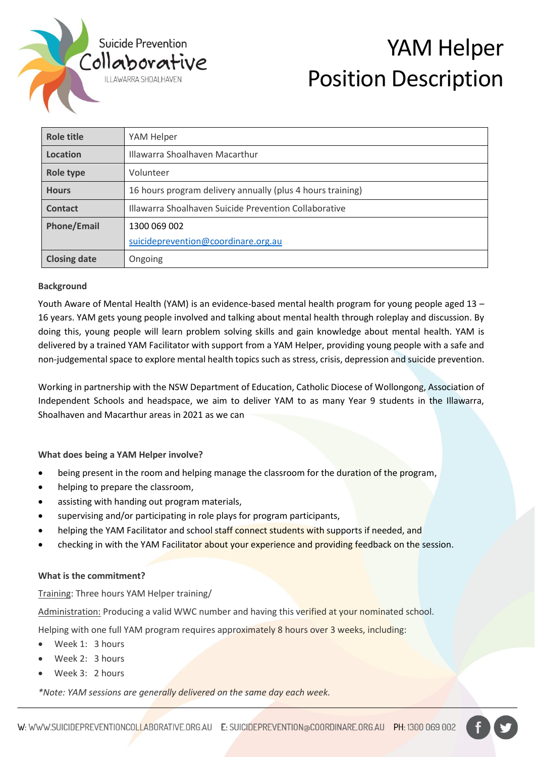

# YAM Helper Position Description

| Role title          | YAM Helper                                                 |
|---------------------|------------------------------------------------------------|
| Location            | Illawarra Shoalhaven Macarthur                             |
| <b>Role type</b>    | Volunteer                                                  |
| <b>Hours</b>        | 16 hours program delivery annually (plus 4 hours training) |
| Contact             | Illawarra Shoalhaven Suicide Prevention Collaborative      |
| <b>Phone/Email</b>  | 1300 069 002                                               |
|                     | suicideprevention@coordinare.org.au                        |
| <b>Closing date</b> | Ongoing                                                    |

#### **Background**

Youth Aware of Mental Health (YAM) is an evidence-based mental health program for young people aged 13 – 16 years. YAM gets young people involved and talking about mental health through roleplay and discussion. By doing this, young people will learn problem solving skills and gain knowledge about mental health. YAM is delivered by a trained YAM Facilitator with support from a YAM Helper, providing young people with a safe and non-judgemental space to explore mental health topics such as stress, crisis, depression and suicide prevention.

Working in partnership with the NSW Department of Education, Catholic Diocese of Wollongong, Association of Independent Schools and headspace, we aim to deliver YAM to as many Year 9 students in the Illawarra, Shoalhaven and Macarthur areas in 2021 as we can

**What does being a YAM Helper involve?**

- being present in the room and helping manage the classroom for the duration of the program,
- helping to prepare the classroom,
- assisting with handing out program materials,
- supervising and/or participating in role plays for program participants,
- helping the YAM Facilitator and school staff connect students with supports if needed, and
- checking in with the YAM Facilitator about your experience and providing feedback on the session.

#### **What is the commitment?**

Training: Three hours YAM Helper training/

Administration: Producing a valid WWC number and having this verified at your nominated school.

Helping with one full YAM program requires approximately 8 hours over 3 weeks, including:

- Week 1: 3 hours
- Week 2: 3 hours
- Week 3: 2 hours

*\*Note: YAM sessions are generally delivered on the same day each week.*